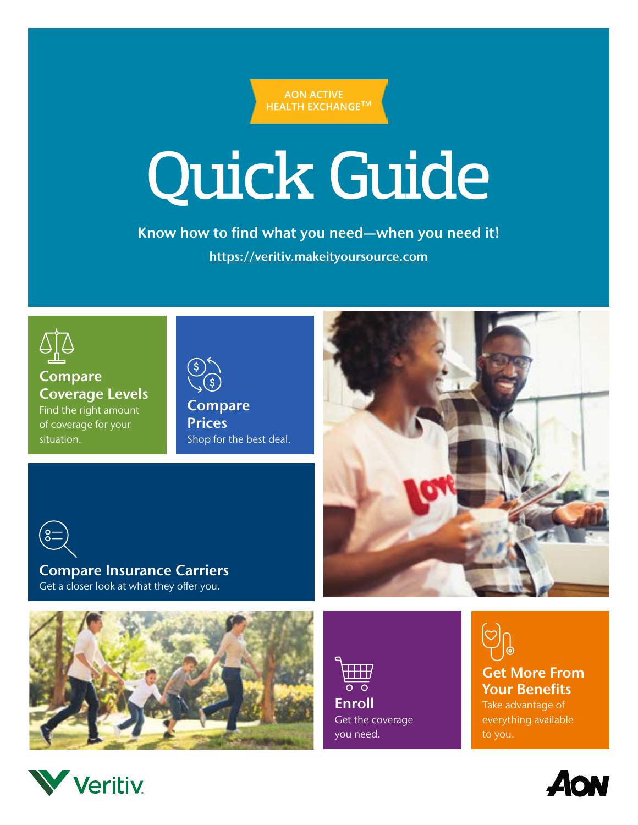**AON ACTIVE HEALTH EXCHANGE™** 

# Quick Guide

Know how to find what you need—when you need it! [https://veritiv.makeityoursource.com](https://veritiv.makeityoursource.com/)



Compare Coverage Levels Find the right amount of coverage for your situation.

Compare **Prices** Shop for the best deal.



Compare Insurance Carriers Get a closer look at what they offer you.



 $\overline{\mathbf{H}}\mathbf{H}$  $\overline{\circ}$   $\overline{\circ}$ **Enroll** Get the coverage you need.

Get More From Your Benefits Take advantage of everything available to you.



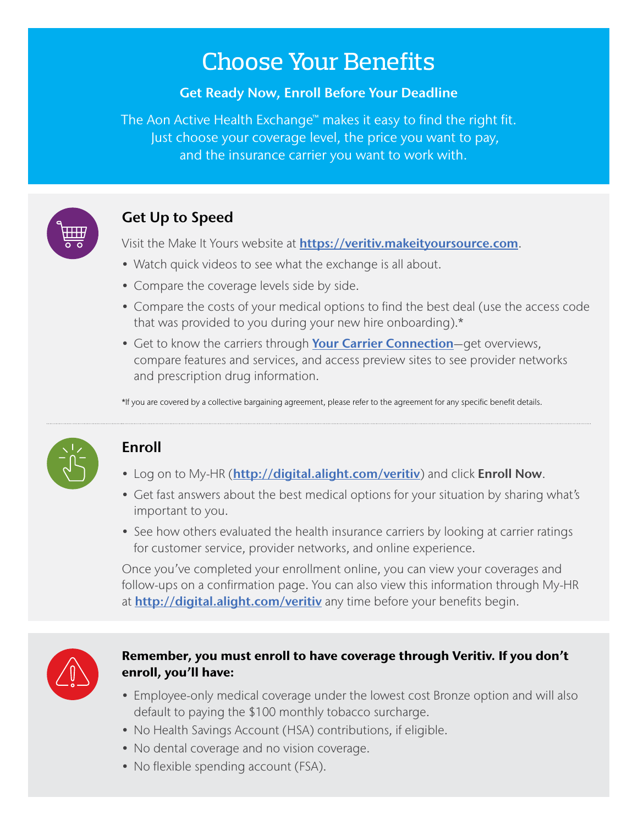# Choose Your Benefits

#### Get Ready Now, Enroll Before Your Deadline

The Aon Active Health Exchange™ makes it easy to find the right fit. Just choose your coverage level, the price you want to pay, and the insurance carrier you want to work with.



## Get Up to Speed

Visit the Make It Yours website at **[https://veritiv.makeityoursource.com](https://veritiv.makeityoursource.com/).** 

- Watch quick videos to see what the exchange is all about.
- Compare the coverage levels side by side.
- Compare the costs of your medical options to find the best deal (use the access code that was provided to you during your new hire onboarding).\*
- Get to know the carriers through [Your Carrier Connection](https://veritiv.makeityoursource.com/your-carrier-connection)-get overviews, compare features and services, and access preview sites to see provider networks and prescription drug information.

\*If you are covered by a collective bargaining agreement, please refer to the agreement for any specific benefit details.



## Enroll

- Log on to My-HR ([http://digital.alight.com/veritiv](https://leplb0100.upoint.alight.com/web/veritiv/login?forkPage=false#/routing)) and click Enroll Now.
- Get fast answers about the best medical options for your situation by sharing what's important to you.
- See how others evaluated the health insurance carriers by looking at carrier ratings for customer service, provider networks, and online experience.

Once you've completed your enrollment online, you can view your coverages and follow-ups on a confirmation page. You can also view this information through My-HR at **[http://digital.alight.com/veritiv](https://leplb0100.upoint.alight.com/web/veritiv/login?forkPage=false#/routing)** any time before your benefits begin.



#### Remember, you must enroll to have coverage through Veritiv. If you don't enroll, you'll have:

- Employee-only medical coverage under the lowest cost Bronze option and will also default to paying the \$100 monthly tobacco surcharge.
- No Health Savings Account (HSA) contributions, if eligible.
- No dental coverage and no vision coverage.
- No flexible spending account (FSA).